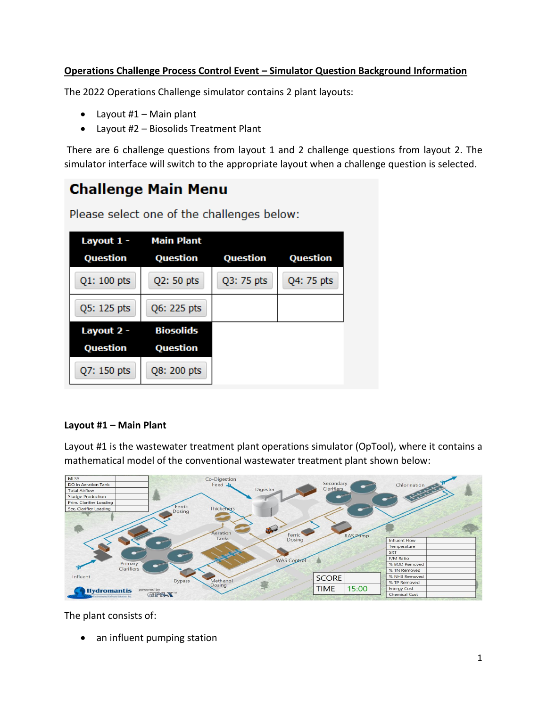# **Operations Challenge Process Control Event – Simulator Question Background Information**

The 2022 Operations Challenge simulator contains 2 plant layouts:

- $\bullet$  Layout #1 Main plant
- Layout #2 Biosolids Treatment Plant

There are 6 challenge questions from layout 1 and 2 challenge questions from layout 2. The simulator interface will switch to the appropriate layout when a challenge question is selected.

# **Challenge Main Menu**

Please select one of the challenges below:

| Layout 1 -  | <b>Main Plant</b> |            |            |
|-------------|-------------------|------------|------------|
| Question    | Question          | Question   | Question   |
| Q1: 100 pts | Q2: 50 pts        | Q3: 75 pts | Q4: 75 pts |
| Q5: 125 pts | Q6: 225 pts       |            |            |
| Layout 2 -  | <b>Biosolids</b>  |            |            |
| Question    | Question          |            |            |
| Q7: 150 pts | Q8: 200 pts       |            |            |

## **Layout #1 – Main Plant**

Layout #1 is the wastewater treatment plant operations simulator (OpTool), where it contains a mathematical model of the conventional wastewater treatment plant shown below:



The plant consists of:

• an influent pumping station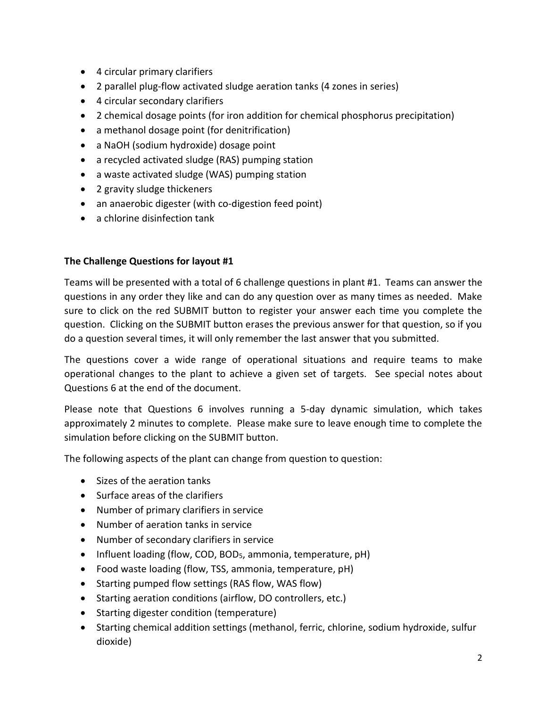- 4 circular primary clarifiers
- 2 parallel plug-flow activated sludge aeration tanks (4 zones in series)
- 4 circular secondary clarifiers
- 2 chemical dosage points (for iron addition for chemical phosphorus precipitation)
- a methanol dosage point (for denitrification)
- a NaOH (sodium hydroxide) dosage point
- a recycled activated sludge (RAS) pumping station
- a waste activated sludge (WAS) pumping station
- 2 gravity sludge thickeners
- an anaerobic digester (with co-digestion feed point)
- a chlorine disinfection tank

#### **The Challenge Questions for layout #1**

Teams will be presented with a total of 6 challenge questions in plant #1. Teams can answer the questions in any order they like and can do any question over as many times as needed. Make sure to click on the red SUBMIT button to register your answer each time you complete the question. Clicking on the SUBMIT button erases the previous answer for that question, so if you do a question several times, it will only remember the last answer that you submitted.

The questions cover a wide range of operational situations and require teams to make operational changes to the plant to achieve a given set of targets. See special notes about Questions 6 at the end of the document.

Please note that Questions 6 involves running a 5-day dynamic simulation, which takes approximately 2 minutes to complete. Please make sure to leave enough time to complete the simulation before clicking on the SUBMIT button.

The following aspects of the plant can change from question to question:

- Sizes of the aeration tanks
- Surface areas of the clarifiers
- Number of primary clarifiers in service
- Number of aeration tanks in service
- Number of secondary clarifiers in service
- Influent loading (flow, COD, BOD5, ammonia, temperature, pH)
- Food waste loading (flow, TSS, ammonia, temperature, pH)
- Starting pumped flow settings (RAS flow, WAS flow)
- Starting aeration conditions (airflow, DO controllers, etc.)
- Starting digester condition (temperature)
- Starting chemical addition settings (methanol, ferric, chlorine, sodium hydroxide, sulfur dioxide)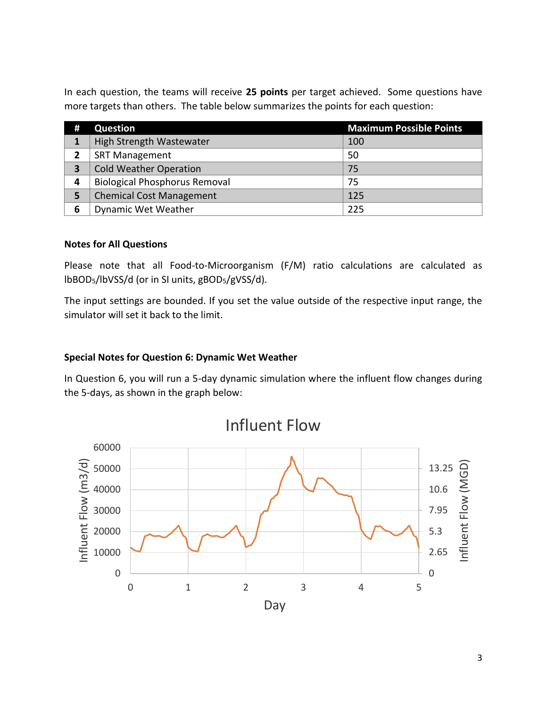In each question, the teams will receive **25 points** per target achieved. Some questions have more targets than others. The table below summarizes the points for each question:

| # | Question                             | <b>Maximum Possible Points</b> |
|---|--------------------------------------|--------------------------------|
|   | High Strength Wastewater             | 100                            |
| 2 | <b>SRT Management</b>                | 50                             |
| 3 | <b>Cold Weather Operation</b>        | 75                             |
| 4 | <b>Biological Phosphorus Removal</b> | 75                             |
| 5 | <b>Chemical Cost Management</b>      | 125                            |
| 6 | Dynamic Wet Weather                  | 225                            |

#### **Notes for All Questions**

Please note that all Food-to-Microorganism (F/M) ratio calculations are calculated as lbBOD5/lbVSS/d (or in SI units, gBOD5/gVSS/d).

The input settings are bounded. If you set the value outside of the respective input range, the simulator will set it back to the limit.

#### **Special Notes for Question 6: Dynamic Wet Weather**

In Question 6, you will run a 5-day dynamic simulation where the influent flow changes during the 5-days, as shown in the graph below:

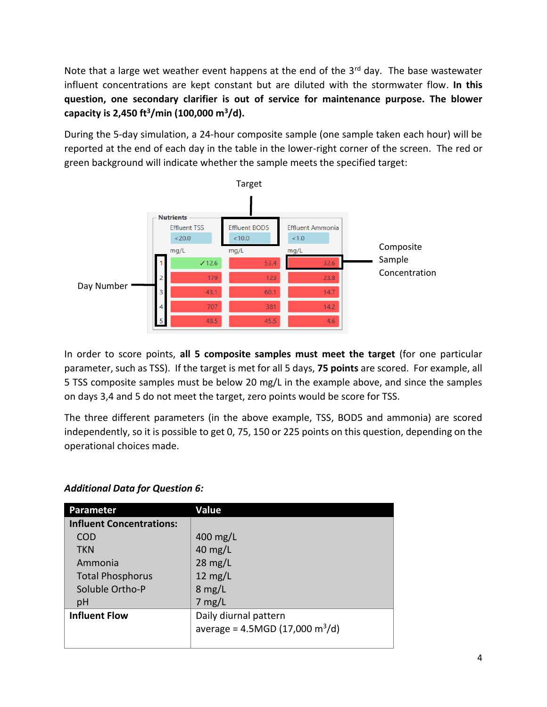Note that a large wet weather event happens at the end of the  $3<sup>rd</sup>$  day. The base wastewater influent concentrations are kept constant but are diluted with the stormwater flow. **In this question, one secondary clarifier is out of service for maintenance purpose. The blower capacity is 2,450 ft<sup>3</sup> /min (100,000 m<sup>3</sup> /d).**

During the 5-day simulation, a 24-hour composite sample (one sample taken each hour) will be reported at the end of each day in the table in the lower-right corner of the screen. The red or green background will indicate whether the sample meets the specified target:



In order to score points, **all 5 composite samples must meet the target** (for one particular parameter, such as TSS). If the target is met for all 5 days, **75 points** are scored. For example, all 5 TSS composite samples must be below 20 mg/L in the example above, and since the samples on days 3,4 and 5 do not meet the target, zero points would be score for TSS.

The three different parameters (in the above example, TSS, BOD5 and ammonia) are scored independently, so it is possible to get 0, 75, 150 or 225 points on this question, depending on the operational choices made.

# *Additional Data for Question 6:*

| Parameter                       | <b>Value</b>                                  |  |
|---------------------------------|-----------------------------------------------|--|
| <b>Influent Concentrations:</b> |                                               |  |
| COD                             | 400 mg/L                                      |  |
| <b>TKN</b>                      | 40 $mg/L$                                     |  |
| Ammonia                         | $28 \text{ mg/L}$                             |  |
| <b>Total Phosphorus</b>         | $12 \text{ mg/L}$                             |  |
| Soluble Ortho-P                 | $8$ mg/L                                      |  |
| pH                              | $7$ mg/L                                      |  |
| <b>Influent Flow</b>            | Daily diurnal pattern                         |  |
|                                 | average = $4.5MGD$ (17,000 m <sup>3</sup> /d) |  |
|                                 |                                               |  |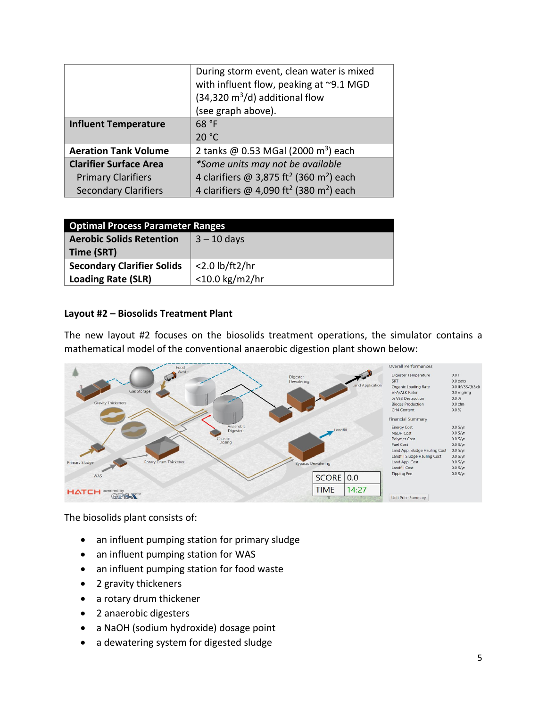|                               | During storm event, clean water is mixed<br>with influent flow, peaking at ~9.1 MGD |  |
|-------------------------------|-------------------------------------------------------------------------------------|--|
|                               | $(34,320 \text{ m}^3/\text{d})$ additional flow                                     |  |
|                               | (see graph above).                                                                  |  |
| <b>Influent Temperature</b>   | 68 °F                                                                               |  |
|                               | 20 °C                                                                               |  |
| <b>Aeration Tank Volume</b>   | 2 tanks @ 0.53 MGal (2000 m <sup>3</sup> ) each                                     |  |
| <b>Clarifier Surface Area</b> | *Some units may not be available                                                    |  |
| <b>Primary Clarifiers</b>     | 4 clarifiers @ 3,875 ft <sup>2</sup> (360 m <sup>2</sup> ) each                     |  |
| <b>Secondary Clarifiers</b>   | 4 clarifiers @ 4,090 ft <sup>2</sup> (380 m <sup>2</sup> ) each                     |  |

| <b>Optimal Process Parameter Ranges</b> |                   |  |
|-----------------------------------------|-------------------|--|
| <b>Aerobic Solids Retention</b>         | $3 - 10$ days     |  |
| Time (SRT)                              |                   |  |
| <b>Secondary Clarifier Solids</b>       | $<$ 2.0 lb/ft2/hr |  |
| <b>Loading Rate (SLR)</b>               | $<$ 10.0 kg/m2/hr |  |

#### **Layout #2 – Biosolids Treatment Plant**

The new layout #2 focuses on the biosolids treatment operations, the simulator contains a mathematical model of the conventional anaerobic digestion plant shown below:



The biosolids plant consists of:

- an influent pumping station for primary sludge
- an influent pumping station for WAS
- an influent pumping station for food waste
- 2 gravity thickeners
- a rotary drum thickener
- 2 anaerobic digesters
- a NaOH (sodium hydroxide) dosage point
- a dewatering system for digested sludge